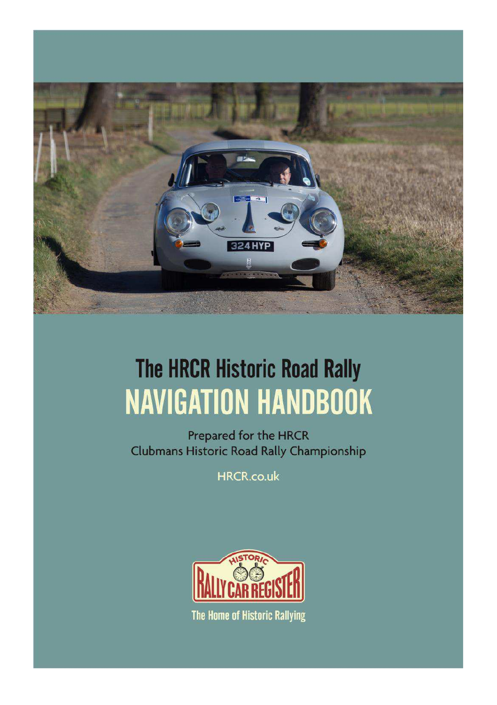

# **The HRCR Historic Road Rally NAVIGATION HANDBOOK**

Prepared for the HRCR Clubmans Historic Road Rally Championship

**HRCR.co.uk** 



The Home of Historic Rallying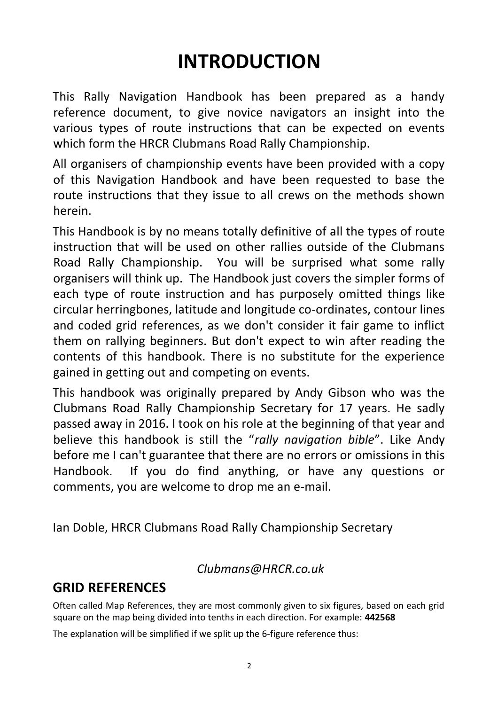# **INTRODUCTION**

This Rally Navigation Handbook has been prepared as a handy reference document, to give novice navigators an insight into the various types of route instructions that can be expected on events which form the HRCR Clubmans Road Rally Championship.

All organisers of championship events have been provided with a copy of this Navigation Handbook and have been requested to base the route instructions that they issue to all crews on the methods shown herein.

This Handbook is by no means totally definitive of all the types of route instruction that will be used on other rallies outside of the Clubmans Road Rally Championship. You will be surprised what some rally organisers will think up. The Handbook just covers the simpler forms of each type of route instruction and has purposely omitted things like circular herringbones, latitude and longitude co-ordinates, contour lines and coded grid references, as we don't consider it fair game to inflict them on rallying beginners. But don't expect to win after reading the contents of this handbook. There is no substitute for the experience gained in getting out and competing on events.

This handbook was originally prepared by Andy Gibson who was the Clubmans Road Rally Championship Secretary for 17 years. He sadly passed away in 2016. I took on his role at the beginning of that year and believe this handbook is still the "*rally navigation bible*". Like Andy before me I can't guarantee that there are no errors or omissions in this Handbook. If you do find anything, or have any questions or comments, you are welcome to drop me an e-mail.

Ian Doble, HRCR Clubmans Road Rally Championship Secretary

### *Clubmans@HRCR.co.uk*

# **GRID REFERENCES**

Often called Map References, they are most commonly given to six figures, based on each grid square on the map being divided into tenths in each direction. For example: **442568**

The explanation will be simplified if we split up the 6-figure reference thus: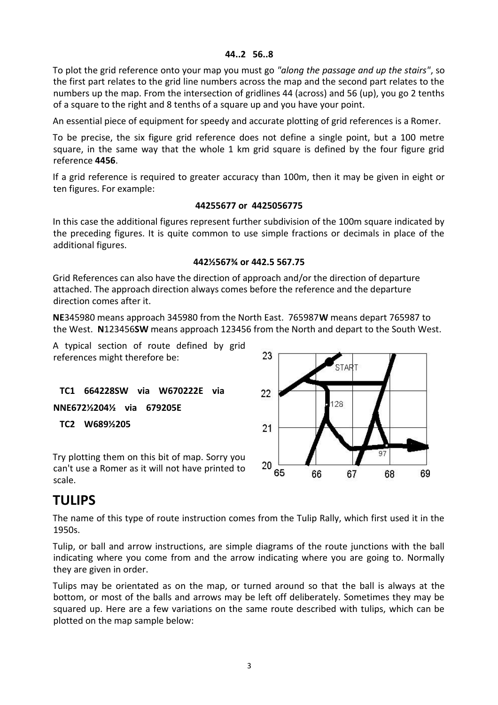#### **44..2 56..8**

To plot the grid reference onto your map you must go *"along the passage and up the stairs"*, so the first part relates to the grid line numbers across the map and the second part relates to the numbers up the map. From the intersection of gridlines 44 (across) and 56 (up), you go 2 tenths of a square to the right and 8 tenths of a square up and you have your point.

An essential piece of equipment for speedy and accurate plotting of grid references is a Romer.

To be precise, the six figure grid reference does not define a single point, but a 100 metre square, in the same way that the whole 1 km grid square is defined by the four figure grid reference **4456**.

If a grid reference is required to greater accuracy than 100m, then it may be given in eight or ten figures. For example:

#### **44255677 or 4425056775**

In this case the additional figures represent further subdivision of the 100m square indicated by the preceding figures. It is quite common to use simple fractions or decimals in place of the additional figures.

#### **442½567¾ or 442.5 567.75**

Grid References can also have the direction of approach and/or the direction of departure attached. The approach direction always comes before the reference and the departure direction comes after it.

**NE**345980 means approach 345980 from the North East. 765987**W** means depart 765987 to the West. **N**123456**SW** means approach 123456 from the North and depart to the South West.

23

22

A typical section of route defined by grid references might therefore be:

 **TC1 664228SW via W670222E via NNE672½204½ via 679205E TC2 W689½205**

Try plotting them on this bit of map. Sorry you can't use a Romer as it will not have printed to scale.



128

69

68

### **TULIPS**

The name of this type of route instruction comes from the Tulip Rally, which first used it in the 1950s.

Tulip, or ball and arrow instructions, are simple diagrams of the route junctions with the ball indicating where you come from and the arrow indicating where you are going to. Normally they are given in order.

Tulips may be orientated as on the map, or turned around so that the ball is always at the bottom, or most of the balls and arrows may be left off deliberately. Sometimes they may be squared up. Here are a few variations on the same route described with tulips, which can be plotted on the map sample below: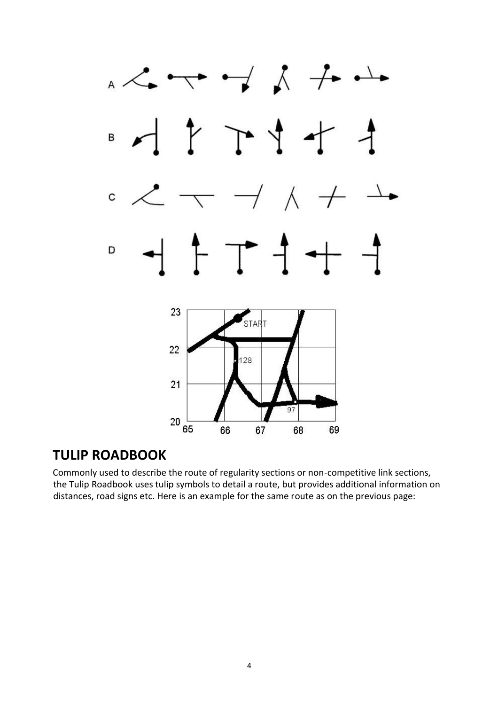

## **TULIP ROADBOOK**

Commonly used to describe the route of regularity sections or non-competitive link sections, the Tulip Roadbook uses tulip symbols to detail a route, but provides additional information on distances, road signs etc. Here is an example for the same route as on the previous page: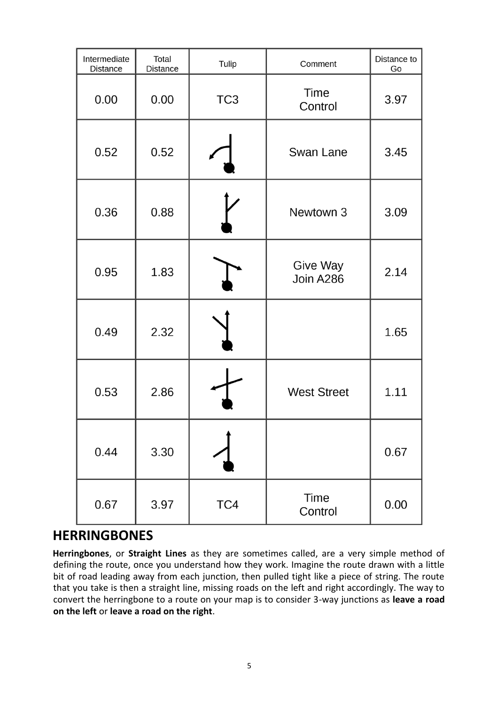| Intermediate<br><b>Distance</b> | Total<br><b>Distance</b> | Tulip           | Comment                | Distance to<br>Go |
|---------------------------------|--------------------------|-----------------|------------------------|-------------------|
| 0.00                            | 0.00                     | TC <sub>3</sub> | Time<br>Control        | 3.97              |
| 0.52                            | 0.52                     |                 | Swan Lane              | 3.45              |
| 0.36                            | 0.88                     |                 | Newtown 3              | 3.09              |
| 0.95                            | 1.83                     |                 | Give Way<br>Join A286  | 2.14              |
| 0.49                            | 2.32                     |                 |                        | 1.65              |
| 0.53                            | 2.86                     |                 | <b>West Street</b>     | 1.11              |
| 0.44                            | 3.30                     |                 |                        | 0.67              |
| 0.67                            | 3.97                     | TC4             | <b>Time</b><br>Control | 0.00              |

### **HERRINGBONES**

**Herringbones**, or **Straight Lines** as they are sometimes called, are a very simple method of defining the route, once you understand how they work. Imagine the route drawn with a little bit of road leading away from each junction, then pulled tight like a piece of string. The route that you take is then a straight line, missing roads on the left and right accordingly. The way to convert the herringbone to a route on your map is to consider 3-way junctions as **leave a road on the left** or **leave a road on the right**.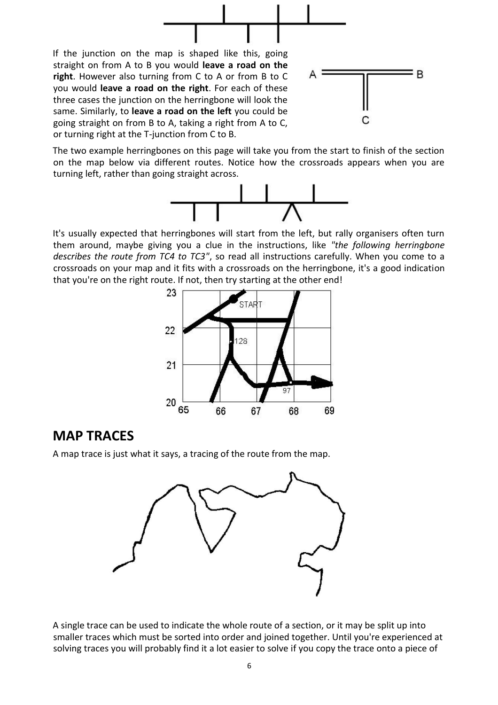

The two example herringbones on this page will take you from the start to finish of the section on the map below via different routes. Notice how the crossroads appears when you are turning left, rather than going straight across.

going straight on from B to A, taking a right from A to C,

or turning right at the T-junction from C to B.



It's usually expected that herringbones will start from the left, but rally organisers often turn them around, maybe giving you a clue in the instructions, like *"the following herringbone describes the route from TC4 to TC3"*, so read all instructions carefully. When you come to a crossroads on your map and it fits with a crossroads on the herringbone, it's a good indication that you're on the right route. If not, then try starting at the other end!



### **MAP TRACES**

A map trace is just what it says, a tracing of the route from the map.



A single trace can be used to indicate the whole route of a section, or it may be split up into smaller traces which must be sorted into order and joined together. Until you're experienced at solving traces you will probably find it a lot easier to solve if you copy the trace onto a piece of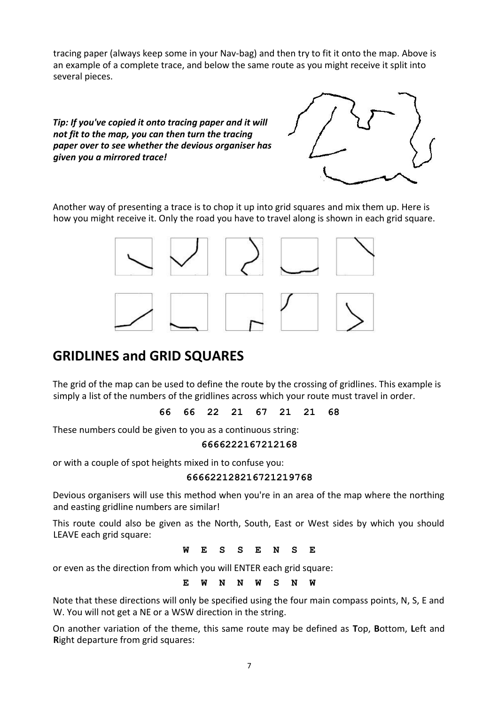tracing paper (always keep some in your Nav-bag) and then try to fit it onto the map. Above is an example of a complete trace, and below the same route as you might receive it split into several pieces.

#### *Tip: If you've copied it onto tracing paper and it will not fit to the map, you can then turn the tracing paper over to see whether the devious organiser has given you a mirrored trace!*



Another way of presenting a trace is to chop it up into grid squares and mix them up. Here is how you might receive it. Only the road you have to travel along is shown in each grid square.



# **GRIDLINES and GRID SQUARES**

The grid of the map can be used to define the route by the crossing of gridlines. This example is simply a list of the numbers of the gridlines across which your route must travel in order.

**66 66 22 21 67 21 21 68**

These numbers could be given to you as a continuous string:

#### **6666222167212168**

or with a couple of spot heights mixed in to confuse you:

#### **666622128216721219768**

Devious organisers will use this method when you're in an area of the map where the northing and easting gridline numbers are similar!

This route could also be given as the North, South, East or West sides by which you should LEAVE each grid square:

**W E S S E N S E**

or even as the direction from which you will ENTER each grid square:

**E W N N W S N W**

Note that these directions will only be specified using the four main compass points, N, S, E and W. You will not get a NE or a WSW direction in the string.

On another variation of the theme, this same route may be defined as **T**op, **B**ottom, **L**eft and **R**ight departure from grid squares: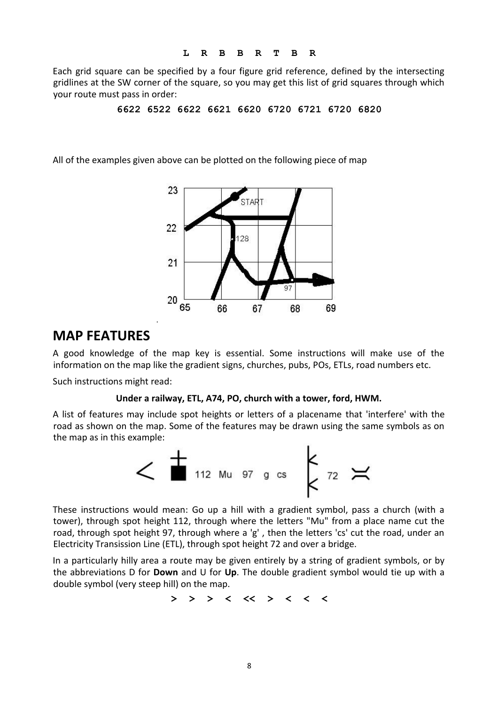Each grid square can be specified by a four figure grid reference, defined by the intersecting gridlines at the SW corner of the square, so you may get this list of grid squares through which your route must pass in order:

**6622 6522 6622 6621 6620 6720 6721 6720 6820**

All of the examples given above can be plotted on the following piece of map



### **MAP FEATURES**

A good knowledge of the map key is essential. Some instructions will make use of the information on the map like the gradient signs, churches, pubs, POs, ETLs, road numbers etc.

Such instructions might read:

#### **Under a railway, ETL, A74, PO, church with a tower, ford, HWM.**

A list of features may include spot heights or letters of a placename that 'interfere' with the road as shown on the map. Some of the features may be drawn using the same symbols as on the map as in this example:



These instructions would mean: Go up a hill with a gradient symbol, pass a church (with a tower), through spot height 112, through where the letters "Mu" from a place name cut the road, through spot height 97, through where a 'g' , then the letters 'cs' cut the road, under an Electricity Transission Line (ETL), through spot height 72 and over a bridge.

In a particularly hilly area a route may be given entirely by a string of gradient symbols, or by the abbreviations D for **Down** and U for **Up**. The double gradient symbol would tie up with a double symbol (very steep hill) on the map.

**> > > < << > < < <**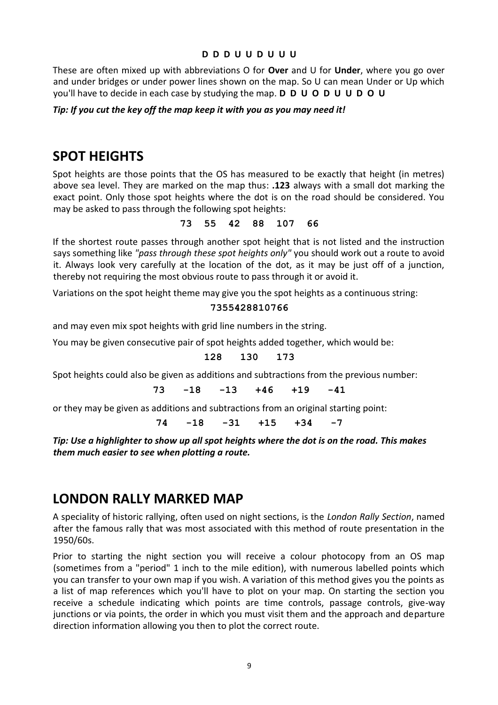#### **D D D U U D U U U**

These are often mixed up with abbreviations O for **Over** and U for **Under**, where you go over and under bridges or under power lines shown on the map. So U can mean Under or Up which you'll have to decide in each case by studying the map. **D D U O D U U D O U**

#### *Tip: If you cut the key off the map keep it with you as you may need it!*

### **SPOT HEIGHTS**

Spot heights are those points that the OS has measured to be exactly that height (in metres) above sea level. They are marked on the map thus: **.123** always with a small dot marking the exact point. Only those spot heights where the dot is on the road should be considered. You may be asked to pass through the following spot heights:

#### **73 55 42 88 107 66**

If the shortest route passes through another spot height that is not listed and the instruction says something like *"pass through these spot heights only"* you should work out a route to avoid it. Always look very carefully at the location of the dot, as it may be just off of a junction, thereby not requiring the most obvious route to pass through it or avoid it.

Variations on the spot height theme may give you the spot heights as a continuous string:

#### **7355428810766**

and may even mix spot heights with grid line numbers in the string.

You may be given consecutive pair of spot heights added together, which would be:

#### **128 130 173**

Spot heights could also be given as additions and subtractions from the previous number:

$$
73 \t -18 \t -13 \t +46 \t +19 \t -41
$$

or they may be given as additions and subtractions from an original starting point:

**74 -18 -31 +15 +34 -7**

*Tip: Use a highlighter to show up all spot heights where the dot is on the road. This makes them much easier to see when plotting a route.*

### **LONDON RALLY MARKED MAP**

A speciality of historic rallying, often used on night sections, is the *London Rally Section*, named after the famous rally that was most associated with this method of route presentation in the 1950/60s.

Prior to starting the night section you will receive a colour photocopy from an OS map (sometimes from a "period" 1 inch to the mile edition), with numerous labelled points which you can transfer to your own map if you wish. A variation of this method gives you the points as a list of map references which you'll have to plot on your map. On starting the section you receive a schedule indicating which points are time controls, passage controls, give-way junctions or via points, the order in which you must visit them and the approach and departure direction information allowing you then to plot the correct route.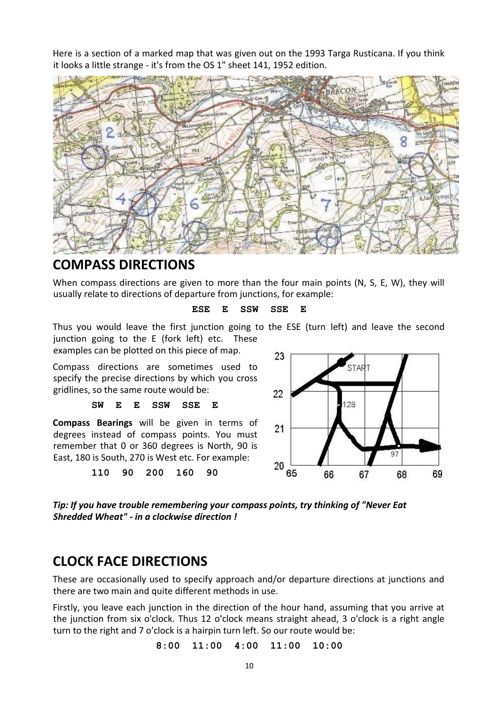Here is a section of a marked map that was given out on the 1993 Targa Rusticana. If you think it looks a little strange - it's from the OS 1" sheet 141, 1952 edition.



### **COMPASS DIRECTIONS**

When compass directions are given to more than the four main points (N, S, E, W), they will usually relate to directions of departure from junctions, for example:

#### **ESE E SSW SSE E**

Thus you would leave the first junction going to the ESE (turn left) and leave the second junction going to the E (fork left) etc. These

examples can be plotted on this piece of map.

Compass directions are sometimes used to specify the precise directions by which you cross gridlines, so the same route would be:

#### **SW E E SSW SSE E**

**Compass Bearings** will be given in terms of degrees instead of compass points. You must remember that 0 or 360 degrees is North, 90 is East, 180 is South, 270 is West etc. For example:

**110 90 200 160 90** 



*Tip: If you have trouble remembering your compass points, try thinking of "Never Eat Shredded Wheat" - in a clockwise direction !*

### **CLOCK FACE DIRECTIONS**

These are occasionally used to specify approach and/or departure directions at junctions and there are two main and quite different methods in use.

Firstly, you leave each junction in the direction of the hour hand, assuming that you arrive at the junction from six o'clock. Thus 12 o'clock means straight ahead, 3 o'clock is a right angle turn to the right and 7 o'clock is a hairpin turn left. So our route would be:

**8:00 11:00 4:00 11:00 10:00**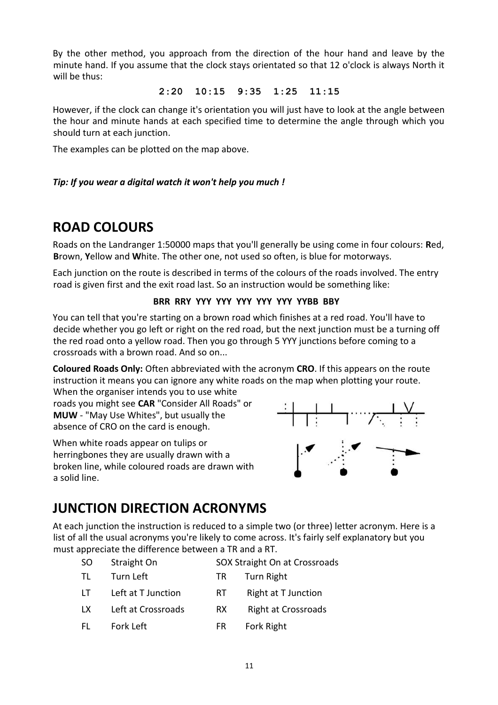By the other method, you approach from the direction of the hour hand and leave by the minute hand. If you assume that the clock stays orientated so that 12 o'clock is always North it will be thus:

#### **2:20 10:15 9:35 1:25 11:15**

However, if the clock can change it's orientation you will just have to look at the angle between the hour and minute hands at each specified time to determine the angle through which you should turn at each junction.

The examples can be plotted on the map above.

#### *Tip: If you wear a digital watch it won't help you much !*

## **ROAD COLOURS**

Roads on the Landranger 1:50000 maps that you'll generally be using come in four colours: **R**ed, **B**rown, **Y**ellow and **W**hite. The other one, not used so often, is blue for motorways.

Each junction on the route is described in terms of the colours of the roads involved. The entry road is given first and the exit road last. So an instruction would be something like:

#### **BRR RRY YYY YYY YYY YYY YYY YYBB BBY**

You can tell that you're starting on a brown road which finishes at a red road. You'll have to decide whether you go left or right on the red road, but the next junction must be a turning off the red road onto a yellow road. Then you go through 5 YYY junctions before coming to a crossroads with a brown road. And so on...

**Coloured Roads Only:** Often abbreviated with the acronym **CRO**. If this appears on the route instruction it means you can ignore any white roads on the map when plotting your route.

When the organiser intends you to use white roads you might see **CAR** "Consider All Roads" or **MUW** - "May Use Whites", but usually the absence of CRO on the card is enough.

When white roads appear on tulips or herringbones they are usually drawn with a broken line, while coloured roads are drawn with a solid line.



# **JUNCTION DIRECTION ACRONYMS**

At each junction the instruction is reduced to a simple two (or three) letter acronym. Here is a list of all the usual acronyms you're likely to come across. It's fairly self explanatory but you must appreciate the difference between a TR and a RT.

| <sub>SO</sub> | Straight On | SOX Straight On at Crossroads |
|---------------|-------------|-------------------------------|
|---------------|-------------|-------------------------------|

- TL Turn Left TR Turn Right
- LT Left at T Junction RT Right at T Junction
- LX Left at Crossroads RX Right at Crossroads
- FL Fork Left FR Fork Right